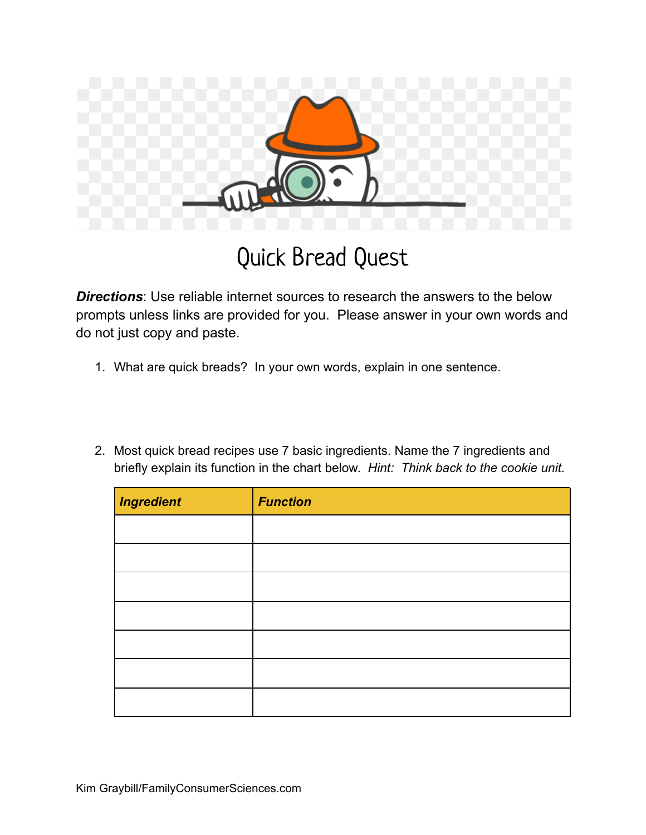

## Quick Bread Quest

**Directions**: Use reliable internet sources to research the answers to the below prompts unless links are provided for you. Please answer in your own words and do not just copy and paste.

- 1. What are quick breads? In your own words, explain in one sentence.
- 2. Most quick bread recipes use 7 basic ingredients. Name the 7 ingredients and briefly explain its function in the chart below. *Hint: Think back to the cookie unit.*

| <b>Ingredient</b> | <b>Function</b> |
|-------------------|-----------------|
|                   |                 |
|                   |                 |
|                   |                 |
|                   |                 |
|                   |                 |
|                   |                 |
|                   |                 |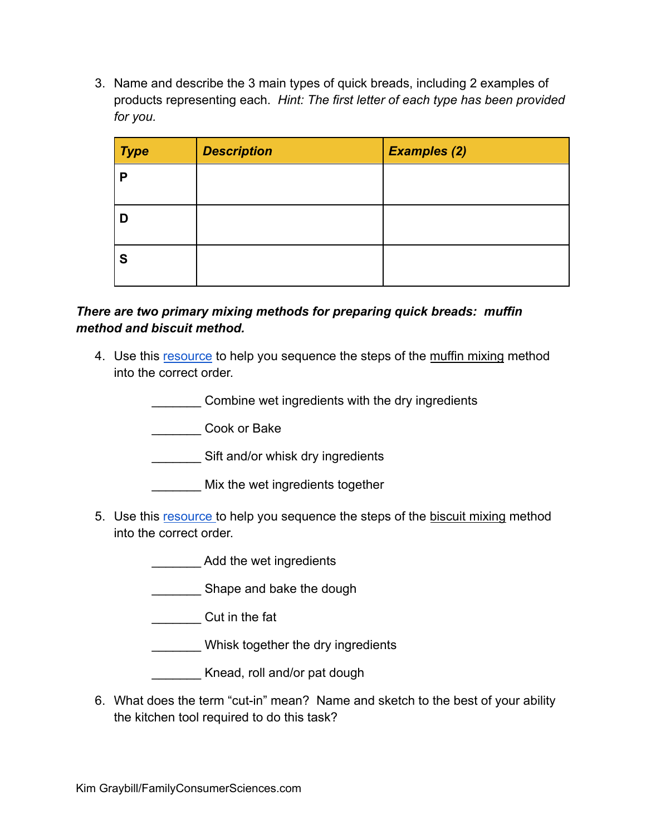3. Name and describe the 3 main types of quick breads, including 2 examples of products representing each. *Hint: The first letter of each type has been provided for you.*

| <b>Type</b> | <b>Description</b> | <b>Examples (2)</b> |
|-------------|--------------------|---------------------|
| D           |                    |                     |
|             |                    |                     |
|             |                    |                     |
| S           |                    |                     |

## *There are two primary mixing methods for preparing quick breads: muffin method and biscuit method.*

4. Use this [resource](https://bakerbettie.com/muffin-mixing-method/) to help you sequence the steps of the muffin mixing method into the correct order.

\_\_\_\_\_\_\_ Combine wet ingredients with the dry ingredients

\_\_\_\_\_\_\_ Cook or Bake

**waters** Sift and/or whisk dry ingredients

- Mix the wet ingredients together
- 5. Use this [resource](https://bakerbettie.com/biscuit-mixing-method/) to help you sequence the steps of the biscuit mixing method into the correct order.
	- Add the wet ingredients
	- Shape and bake the dough
	- \_\_\_\_\_\_\_ Cut in the fat
	- Whisk together the dry ingredients
	- Knead, roll and/or pat dough
- 6. What does the term "cut-in" mean? Name and sketch to the best of your ability the kitchen tool required to do this task?